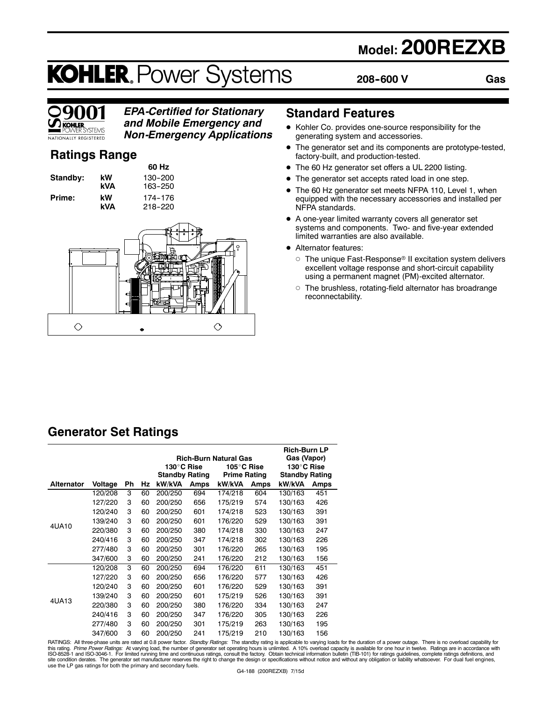## **Model: 200REZXB**

# **KOHLER. Power Systems**

**208--600 V**

**Gas**



### *EPA-Certified for Stationary and Mobile Emergency and*

*Non-Emergency Applications*

### **Ratings Range**

**Standby: kW 130-200 Prime:** kW 174-176<br>**kVA** 218-220

**60 Hz kVA** 163-250 **kVA** 218--220



### **Standard Features**

- $\bullet$  Kohler Co. provides one-source responsibility for the generating system and accessories.
- The generator set and its components are prototype-tested, factory-built, and production-tested.
- The 60 Hz generator set offers a UL 2200 listing.
- The generator set accepts rated load in one step.
- The 60 Hz generator set meets NFPA 110, Level 1, when equipped with the necessary accessories and installed per NFPA standards.
- $\bullet$  A one-year limited warranty covers all generator set systems and components. Two- and five-year extended limited warranties are also available.
- Alternator features:
	- $\circ$  The unique Fast-Response® II excitation system delivers excellent voltage response and short-circuit capability using a permanent magnet (PM)-excited alternator.
	- $\circ$  The brushless, rotating-field alternator has broadrange reconnectability.

### **Generator Set Ratings**

|                   |         |    |    |                              |      |                     |             | <b>Rich-Burn LP</b>   |      |
|-------------------|---------|----|----|------------------------------|------|---------------------|-------------|-----------------------|------|
|                   |         |    |    | <b>Rich-Burn Natural Gas</b> |      |                     | Gas (Vapor) |                       |      |
|                   |         |    |    | 130°C Rise                   |      | 105°C Rise          |             | 130°C Rise            |      |
|                   |         |    |    | <b>Standby Rating</b>        |      | <b>Prime Rating</b> |             | <b>Standby Rating</b> |      |
| <b>Alternator</b> | Voltage | Ph | Hz | kW/kVA                       | Amps | kW/kVA              | Amps        | kW/kVA                | Amps |
|                   | 120/208 | 3  | 60 | 200/250                      | 694  | 174/218             | 604         | 130/163               | 451  |
|                   | 127/220 | 3  | 60 | 200/250                      | 656  | 175/219             | 574         | 130/163               | 426  |
|                   | 120/240 | 3  | 60 | 200/250                      | 601  | 174/218             | 523         | 130/163               | 391  |
|                   | 139/240 | 3  | 60 | 200/250                      | 601  | 176/220             | 529         | 130/163               | 391  |
| 4UA10             | 220/380 | 3  | 60 | 200/250                      | 380  | 174/218             | 330         | 130/163               | 247  |
|                   | 240/416 | 3  | 60 | 200/250                      | 347  | 174/218             | 302         | 130/163               | 226  |
|                   | 277/480 | 3  | 60 | 200/250                      | 301  | 176/220             | 265         | 130/163               | 195  |
|                   | 347/600 | 3  | 60 | 200/250                      | 241  | 176/220             | 212         | 130/163               | 156  |
| 4UA13             | 120/208 | 3  | 60 | 200/250                      | 694  | 176/220             | 611         | 130/163               | 451  |
|                   | 127/220 | 3  | 60 | 200/250                      | 656  | 176/220             | 577         | 130/163               | 426  |
|                   | 120/240 | 3  | 60 | 200/250                      | 601  | 176/220             | 529         | 130/163               | 391  |
|                   | 139/240 | 3  | 60 | 200/250                      | 601  | 175/219             | 526         | 130/163               | 391  |
|                   | 220/380 | 3  | 60 | 200/250                      | 380  | 176/220             | 334         | 130/163               | 247  |
|                   | 240/416 | 3  | 60 | 200/250                      | 347  | 176/220             | 305         | 130/163               | 226  |
|                   | 277/480 | 3  | 60 | 200/250                      | 301  | 175/219             | 263         | 130/163               | 195  |
|                   | 347/600 | 3  | 60 | 200/250                      | 241  | 175/219             | 210         | 130/163               | 156  |

RATINGS: All three-phase units are rated at 0.8 power factor. *Standby Ratings:* The standby rating is applicable to varying loads for the duration of a power outage. There is no overload capability for for the duration of site condition derates. The generator set manufacturer reserves the right to change the design or specifications without notice and without any obligation or liability whatsoever. For dual fuel engines,<br>use the LP gas rati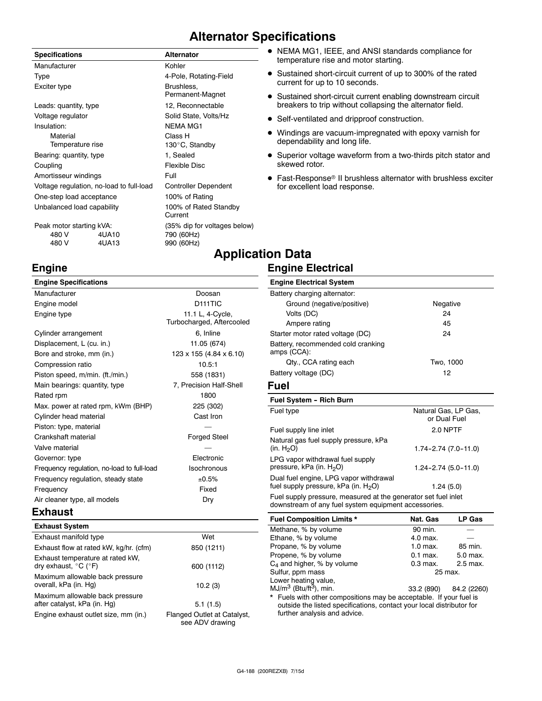### **Alternator Specifications**

| <b>Specifications</b>                    |       | <b>Alternator</b>                |  |  |
|------------------------------------------|-------|----------------------------------|--|--|
| Manufacturer                             |       | Kohler                           |  |  |
| Type                                     |       | 4-Pole, Rotating-Field           |  |  |
| Exciter type                             |       | Brushless,<br>Permanent-Magnet   |  |  |
| Leads: quantity, type                    |       | 12, Reconnectable                |  |  |
| Voltage regulator                        |       | Solid State, Volts/Hz            |  |  |
| Insulation:                              |       | <b>NEMA MG1</b>                  |  |  |
| Material                                 |       | Class H                          |  |  |
| Temperature rise                         |       | 130°C, Standby                   |  |  |
| Bearing: quantity, type                  |       | 1, Sealed                        |  |  |
| Coupling                                 |       | Flexible Disc                    |  |  |
| Amortisseur windings                     |       | Full                             |  |  |
| Voltage regulation, no-load to full-load |       | <b>Controller Dependent</b>      |  |  |
| One-step load acceptance                 |       | 100% of Rating                   |  |  |
| Unbalanced load capability               |       | 100% of Rated Standby<br>Current |  |  |
| Peak motor starting kVA:                 |       | (35% dip for voltages below)     |  |  |
| 480 V                                    | 4UA10 | 790 (60Hz)                       |  |  |
| 480 V                                    | 4UA13 | 990 (60Hz)                       |  |  |

- NEMA MG1, IEEE, and ANSI standards compliance for temperature rise and motor starting.
- Sustained short-circuit current of up to 300% of the rated current for up to 10 seconds.
- Sustained short-circuit current enabling downstream circuit breakers to trip without collapsing the alternator field.
- Self-ventilated and dripproof construction.
- Windings are vacuum-impregnated with epoxy varnish for dependability and long life.
- Superior voltage waveform from a two-thirds pitch stator and skewed rotor.
- Fast-Response<sup>®</sup> II brushless alternator with brushless exciter for excellent load response.

### **Application Data Engine Electrical**

#### **Engine Specifications** Manufacturer **Doosan** Engine model **D111TIC** Engine type **11.1** L, 4-Cycle, Turbocharged, Aftercooled Cylinder arrangement 6, Inline Displacement, L (cu. in.) 11.05 (674) Bore and stroke, mm (in.) 123 x 155 (4.84 x 6.10) Compression ratio 10.5:1 Piston speed, m/min. (ft./min.) 558 (1831) Main bearings: quantity, type 7, Precision Half-Shell Rated rpm 1800 Max. power at rated rpm, kWm (BHP) 225 (302) Cylinder head material Cylinder head material control cast Iron Piston: type, material Crankshaft material **Forged** Steel Valve material Governor: type Electronic Frequency regulation, no-load to full-load Isochronous Frequency regulation, steady state  $\pm 0.5\%$ Frequency Fixed Air cleaner type, all models Dry **Engine Electrical System** Battery charging alternator: Ground (negative/positive) Negative Volts (DC) 24 Ampere rating 45 Starter motor rated voltage (DC) 24 Battery, recommended cold cranking amps (CCA): Qty., CCA rating each Two, 1000 Battery voltage (DC) 12 **Fuel Fuel System - Rich Burn** Fuel type **Natural Gas, LP Gas,** Natural Gas, LP Gas, Fuel supply line inlet 2.0 NPTF Natural gas fuel supply pressure, kPa  $(in. H<sub>2</sub>O)$  $1.74 - 2.74$   $(7.0 - 11.0)$ LPG vapor withdrawal fuel supply pressure, kPa (in.  $H_2O$ ) 1.24-2.74 (5.0-11.0) Dual fuel engine, LPG vapor withdrawal fuel supply pressure,  $kPa$  (in.  $H_2O$ ) 1.24 (5.0) Fuel supply pressure, measured at the generator set fuel inlet downstream of any fuel system equipment accessories.

#### **Exhaust**

**Engine**

| <b>Exhaust System</b>                                                         |                                                |
|-------------------------------------------------------------------------------|------------------------------------------------|
| Exhaust manifold type                                                         | Wet                                            |
| Exhaust flow at rated kW, kg/hr. (cfm)                                        | 850 (1211)                                     |
| Exhaust temperature at rated kW.<br>dry exhaust, $^{\circ}$ C ( $^{\circ}$ F) | 600 (1112)                                     |
| Maximum allowable back pressure<br>overall, kPa (in. Hg)                      | 10.2(3)                                        |
| Maximum allowable back pressure<br>after catalyst, kPa (in. Hg)               | 5.1(1.5)                                       |
| Engine exhaust outlet size, mm (in.)                                          | Flanged Outlet at Catalyst,<br>see ADV drawing |

**Fuel Composition Limits \* Nat. Gas LP Gas** Methane, % by volume 90 min. Ethane, % by volume 4.0 max. Propane, % by volume 1.0 max. 85 min. Propene, % by volume 0.1 max. 5.0 max.  $C_4$  and higher, % by volume 0.3 max. 2.5 max. Sulfur, ppm mass 25 max. Lower heating value,  $MJ/m<sup>3</sup>$  (Btu/ft<sup>3</sup>), min.  $33.2$  (890) 84.2 (2260) Fuels with other compositions may be acceptable. If your fuel is

or Dual Fuel

outside the listed specifications, contact your local distributor for further analysis and advice.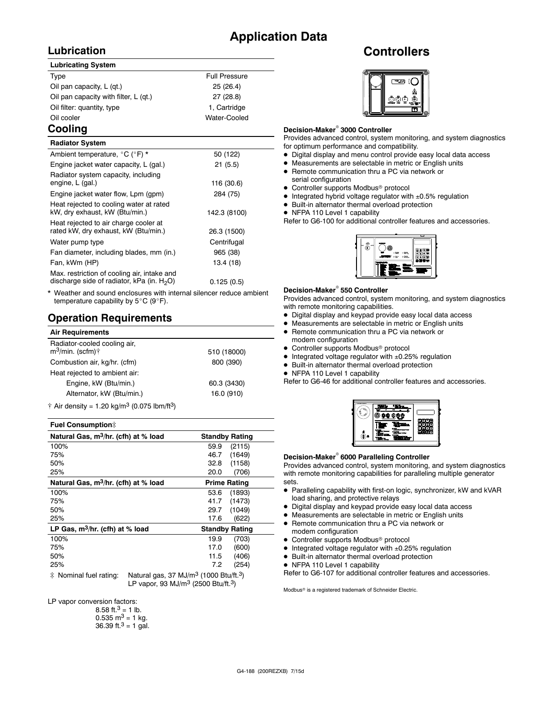### **Application Data**

### **Lubrication**

#### **Lubricating System**

| Type                                  | <b>Full Pressure</b> |
|---------------------------------------|----------------------|
| Oil pan capacity, L (qt.)             | 25(26.4)             |
| Oil pan capacity with filter, L (qt.) | 27(28.8)             |
| Oil filter: quantity, type            | 1, Cartridge         |
| Oil cooler                            | Water-Cooled         |
|                                       |                      |

### **Cooling**

| <b>Radiator System</b>                                                                       |              |
|----------------------------------------------------------------------------------------------|--------------|
| Ambient temperature, °C (°F) *                                                               | 50 (122)     |
| Engine jacket water capacity, L (gal.)                                                       | 21(5.5)      |
| Radiator system capacity, including<br>engine, L (gal.)                                      | 116 (30.6)   |
| Engine jacket water flow, Lpm (gpm)                                                          | 284 (75)     |
| Heat rejected to cooling water at rated<br>kW, dry exhaust, kW (Btu/min.)                    | 142.3 (8100) |
| Heat rejected to air charge cooler at<br>rated kW, dry exhaust, kW (Btu/min.)                | 26.3 (1500)  |
| Water pump type                                                                              | Centrifugal  |
| Fan diameter, including blades, mm (in.)                                                     | 965 (38)     |
| Fan, kWm (HP)                                                                                | 13.4 (18)    |
| Max. restriction of cooling air, intake and<br>discharge side of radiator, kPa (in. $H_2O$ ) | 0.125(0.5)   |

Weather and sound enclosures with internal silencer reduce ambient temperature capability by  $5^{\circ}$ C (9 $^{\circ}$ F).

### **Operation Requirements**

| <b>Air Requirements</b>                                       |             |  |
|---------------------------------------------------------------|-------------|--|
| Radiator-cooled cooling air,<br>$m^3$ /min. (scfm) $\uparrow$ | 510 (18000) |  |
| Combustion air, kg/hr. (cfm)                                  | 800 (390)   |  |
| Heat rejected to ambient air:                                 |             |  |
| Engine, kW (Btu/min.)                                         | 60.3 (3430) |  |
| Alternator, kW (Btu/min.)                                     | 16.0 (910)  |  |
| $A = 0.5$ denote $A = 0.01$ and $A = 3$ (0.075 lbs. $(0.3)$   |             |  |

 $\dagger$  Air density = 1.20 kg/m<sup>3</sup> (0.075 lbm/ft<sup>3</sup>)

#### **Fuel Consumption**]

| Natural Gas, m <sup>3</sup> /hr. (cfh) at % load | <b>Standby Rating</b>                               |
|--------------------------------------------------|-----------------------------------------------------|
| 100%                                             | 59.9<br>(2115)                                      |
| 75%                                              | (1649)<br>46.7                                      |
| 50%                                              | 32.8<br>(1158)                                      |
| 25%                                              | 20.0<br>(706)                                       |
| Natural Gas, m <sup>3</sup> /hr. (cfh) at % load | <b>Prime Rating</b>                                 |
| 100%                                             | 53.6<br>(1893)                                      |
| 75%                                              | (1473)<br>41.7                                      |
| 50%                                              | (1049)<br>29.7                                      |
| 25%                                              | 17.6<br>(622)                                       |
| LP Gas, $m^3/hr$ . (cfh) at % load               | <b>Standby Rating</b>                               |
| 100%                                             | (703)<br>19.9                                       |
| 75%                                              | (600)<br>17.0                                       |
| 50%                                              | (406)<br>11.5                                       |
| 25%                                              | 7.2<br>(254)                                        |
| $\cdots$<br>.                                    | $2.1 - 2.7 - 2.7$<br>$\sim$ $\sim$<br>$- - - - - -$ |

 $\ddagger$  Nominal fuel rating: Natural gas, 37 MJ/m<sup>3</sup> (1000 Btu/ft.<sup>3</sup>) LP vapor, 93 MJ/ $m^3$  (2500 Btu/ft.<sup>3</sup>)

LP vapor conversion factors:

| 8.58 ft. <sup>3</sup> = 1 lb.        |
|--------------------------------------|
| $0.535 \text{ m}^3 = 1 \text{ kg}$ . |
| 36.39 ft. $3 = 1$ gal.               |

### **Controllers**



#### **Decision-Maker<sup>®</sup> 3000 Controller**

Provides advanced control, system monitoring, and system diagnostics for optimum performance and compatibility.

- $\bullet$  Digital display and menu control provide easy local data access
- $\bullet$  Measurements are selectable in metric or English units
- Remote communication thru a PC via network or serial configuration
- Controller supports Modbus<sup>®</sup> protocol
- $\bullet$  Integrated hybrid voltage regulator with  $\pm 0.5\%$  regulation
- $\bullet$  Built-in alternator thermal overload protection
- NFPA 110 Level 1 capability

Refer to G6-100 for additional controller features and accessories.



#### **Decision-Maker<sup>®</sup> 550 Controller**

Provides advanced control, system monitoring, and system diagnostics with remote monitoring capabilities.

- $\bullet$  Digital display and keypad provide easy local data access
- $\bullet$  Measurements are selectable in metric or English units
- Remote communication thru a PC via network or
- modem configuration  $\bullet$  Controller supports Modbus<sup>®</sup> protocol
- $\bullet$  Integrated voltage regulator with  $\pm 0.25\%$  regulation
- $\bullet$  Built-in alternator thermal overload protection
- NFPA 110 Level 1 capability

Refer to G6-46 for additional controller features and accessories.



#### **Decision-Maker<sup>®</sup> 6000 Paralleling Controller**

Provides advanced control, system monitoring, and system diagnostics with remote monitoring capabilities for paralleling multiple generator sets.

- Paralleling capability with first-on logic, synchronizer, kW and kVAR load sharing, and protective relays
- $\bullet$  Digital display and keypad provide easy local data access
- $\bullet$  Measurements are selectable in metric or English units
- Remote communication thru a PC via network or modem configuration
- $\bullet$  Controller supports Modbus<sup>®</sup> protocol
- $\bullet$  Integrated voltage regulator with  $\pm 0.25\%$  regulation
- $\bullet$  Built-in alternator thermal overload protection
- NFPA 110 Level 1 capability

Refer to G6-107 for additional controller features and accessories.

Modbus<sup>®</sup> is a registered trademark of Schneider Electric.